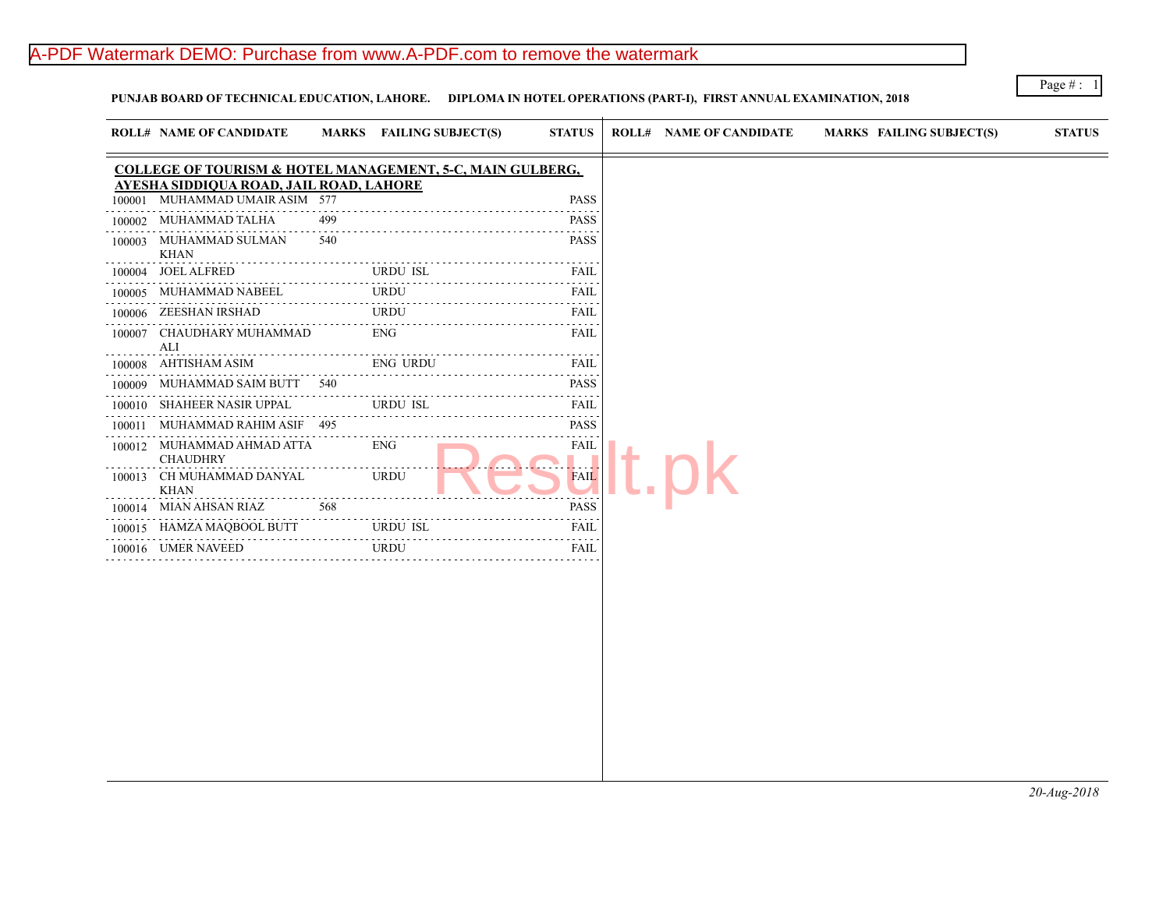## A-PDF Watermark DEMO: Purchase from www.A-PDF.com to remove the watermark

**PUNJAB BOARD OF TECHNICAL EDUCATION, LAHORE. DIPLOMA IN HOTEL OPERATIONS (PART-I), FIRST ANNUAL EXAMINATION, 2018**

 $\pm$ 

| <b>ROLL# NAME OF CANDIDATE</b>              |     |                                                                                                                                                 | <b>STATUS</b>                                                                                                                                                                  |                                                                                                                                             | <b>MARKS FAIL</b>              |
|---------------------------------------------|-----|-------------------------------------------------------------------------------------------------------------------------------------------------|--------------------------------------------------------------------------------------------------------------------------------------------------------------------------------|---------------------------------------------------------------------------------------------------------------------------------------------|--------------------------------|
|                                             |     |                                                                                                                                                 |                                                                                                                                                                                |                                                                                                                                             |                                |
| 100001                                      |     |                                                                                                                                                 | <b>PASS</b>                                                                                                                                                                    |                                                                                                                                             |                                |
| MUHAMMAD TALHA<br>100002                    | 499 |                                                                                                                                                 | <b>PASS</b>                                                                                                                                                                    |                                                                                                                                             |                                |
| MUHAMMAD SULMAN<br>100003<br><b>KHAN</b>    | 540 |                                                                                                                                                 | <b>PASS</b>                                                                                                                                                                    |                                                                                                                                             |                                |
| <b>JOEL ALFRED</b>                          |     |                                                                                                                                                 | <b>FAIL</b>                                                                                                                                                                    |                                                                                                                                             |                                |
| MUHAMMAD NABEEL                             |     |                                                                                                                                                 | FAIL                                                                                                                                                                           |                                                                                                                                             |                                |
| ZEESHAN IRSHAD<br>100006                    |     |                                                                                                                                                 | FAIL                                                                                                                                                                           |                                                                                                                                             |                                |
| 100007<br>ALI                               |     |                                                                                                                                                 | FAIL                                                                                                                                                                           |                                                                                                                                             |                                |
| AHTISHAM ASIM<br>100008                     |     |                                                                                                                                                 | FAIL                                                                                                                                                                           |                                                                                                                                             |                                |
| 100009                                      |     |                                                                                                                                                 | <b>PASS</b>                                                                                                                                                                    |                                                                                                                                             |                                |
| SHAHEER NASIR UPPAL<br>100010               |     |                                                                                                                                                 | FAIL                                                                                                                                                                           |                                                                                                                                             |                                |
| 100011                                      |     |                                                                                                                                                 | <b>PASS</b><br>$- - - -$                                                                                                                                                       |                                                                                                                                             |                                |
| <b>CHAUDHRY</b>                             |     | <b>ENG</b>                                                                                                                                      | <b>FAIL</b>                                                                                                                                                                    |                                                                                                                                             |                                |
| CH MUHAMMAD DANYAL<br>100013<br><b>KHAN</b> |     | <b>URDU</b>                                                                                                                                     | <b>FAIL</b>                                                                                                                                                                    |                                                                                                                                             |                                |
| MIAN AHSAN RIAZ<br>100014                   | 568 |                                                                                                                                                 | <b>PASS</b>                                                                                                                                                                    |                                                                                                                                             |                                |
| HAMZA MAQBOOL BUTT<br>100015                |     |                                                                                                                                                 | FAIL                                                                                                                                                                           |                                                                                                                                             |                                |
| 100016 UMER NAVEED                          |     |                                                                                                                                                 | <b>FAIL</b>                                                                                                                                                                    |                                                                                                                                             |                                |
|                                             |     |                                                                                                                                                 |                                                                                                                                                                                |                                                                                                                                             |                                |
|                                             |     | MUHAMMAD UMAIR ASIM 577<br>.<br>CHAUDHARY MUHAMMAD<br>MUHAMMAD SAIM BUTT 540<br>MUHAMMAD RAHIM ASIF 495<br>100012 MUHAMMAD AHMAD ATTA<br>.<br>. | AYESHA SIDDIQUA ROAD, JAIL ROAD, LAHORE<br><b>URDU ISL</b><br><b>URDU</b><br><b>URDU</b><br><b>ENG</b><br><b>ENG URDU</b><br><b>URDU ISL</b><br><b>URDU ISL</b><br><b>URDU</b> | MARKS FAILING SUBJECT(S)<br><b>COLLEGE OF TOURISM &amp; HOTEL MANAGEMENT, 5-C, MAIN GULBERG,</b><br>.<br>.<br>.<br>2 2 2 2 2 2 <sub>3</sub> | <b>ROLL# NAME OF CANDIDATE</b> |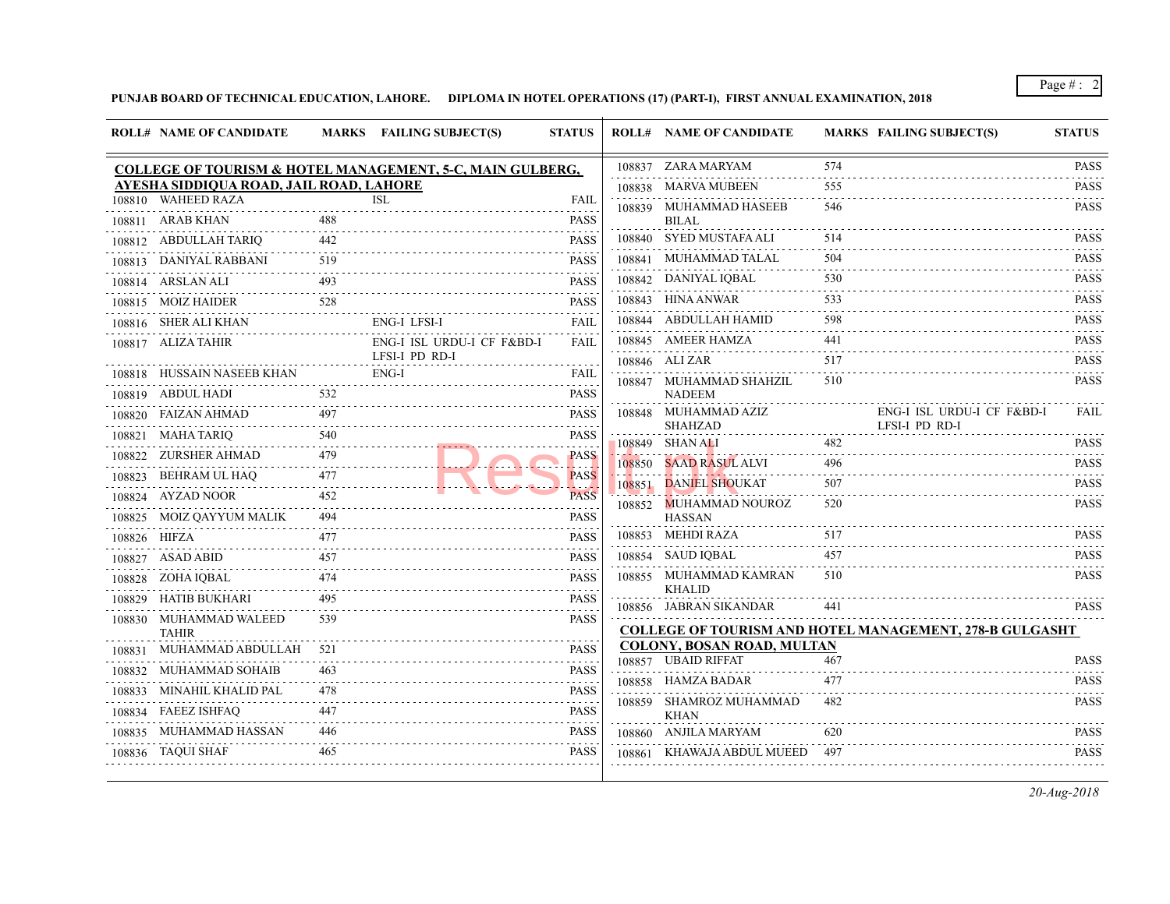## PUNJAB BOARD OF TECHNICAL EDUCATION, LAHORE. DIPLOMA IN HOTEL OPERATIONS (17) (PART-I), FIRST ANNUAL EXAMINATION

|        | <b>ROLL# NAME OF CANDIDATE</b>          |     | MARKS FAILING SUBJECT(S)                                             | <b>STATUS</b>                                                                                                                                       |        | <b>ROLL# NAME OF CANDIDATE</b>            | <b>MARKS FAIL</b> |       |
|--------|-----------------------------------------|-----|----------------------------------------------------------------------|-----------------------------------------------------------------------------------------------------------------------------------------------------|--------|-------------------------------------------|-------------------|-------|
|        |                                         |     | <b>COLLEGE OF TOURISM &amp; HOTEL MANAGEMENT, 5-C, MAIN GULBERG,</b> |                                                                                                                                                     |        | 108837 ZARA MARYAM                        | 574               |       |
|        | AYESHA SIDDIQUA ROAD, JAIL ROAD, LAHORE |     |                                                                      |                                                                                                                                                     |        | 108838 MARVA MUBEEN                       | 555               |       |
|        | 108810 WAHEED RAZA                      |     | <b>ISL</b>                                                           | FAIL                                                                                                                                                |        | 108839 MUHAMMAD HASEEB                    | 546               |       |
|        | 108811 ARAB KHAN                        | 488 |                                                                      | <b>PASS</b>                                                                                                                                         |        | <b>BILAL</b>                              |                   |       |
|        | 108812 ABDULLAH TARIQ                   | 442 |                                                                      | <b>PASS</b>                                                                                                                                         |        | 108840 SYED MUSTAFA ALI                   | 514               |       |
|        | 108813 DANIYAL RABBANI                  | 519 |                                                                      | <b>PASS</b>                                                                                                                                         |        | 108841 MUHAMMAD TALAL                     | 504               |       |
|        | 108814 ARSLAN ALI                       | 493 |                                                                      | <b>PASS</b>                                                                                                                                         |        | 108842 DANIYAL IQBAL                      | 530               |       |
|        | 108815 MOIZ HAIDER                      | 528 |                                                                      | <b>PASS</b>                                                                                                                                         |        | 108843 HINA ANWAR                         | 533               |       |
|        | 108816 SHER ALI KHAN<br>.               |     | <b>ENG-I LFSI-I</b>                                                  | <b>FAIL</b>                                                                                                                                         |        | 108844 ABDULLAH HAMID                     | 598               |       |
|        | 108817 ALIZA TAHIR                      |     | ENG-I ISL URDU-I CF F&BD-I                                           | FAIL                                                                                                                                                |        | 108845 AMEER HAMZA                        | 441               |       |
|        | 108818 HUSSAIN NASEEB KHAN              |     | LFSI-I PD RD-I<br>ENG-I                                              | FAIL                                                                                                                                                |        | 108846 ALIZAR                             | 517               |       |
|        | 108819 ABDUL HADI                       | 532 |                                                                      | $\mathcal{L}^{\mathcal{A}}\left( \mathcal{A}^{\mathcal{A}}\right) =\mathcal{L}^{\mathcal{A}}\left( \mathcal{A}^{\mathcal{A}}\right)$<br><b>PASS</b> |        | 108847 MUHAMMAD SHAHZIL<br><b>NADEEM</b>  | 510               |       |
|        | 108820 FAIZAN AHMAD                     | 497 |                                                                      | PASS                                                                                                                                                |        | 108848 MUHAMMAD AZIZ                      |                   | ENG-  |
|        | 108821 MAHA TARIQ                       | 540 |                                                                      | <b>PASS</b>                                                                                                                                         |        | <b>SHAHZAD</b>                            |                   | LFSI- |
|        | 108822 ZURSHER AHMAD                    | 479 |                                                                      | د د د د د<br><b>PASS</b>                                                                                                                            |        | 108849 SHAN ALI                           | 482               |       |
|        |                                         | 477 |                                                                      |                                                                                                                                                     |        | 108850 SAAD RASUL ALVI                    | 496               |       |
|        | 108823 BEHRAM UL HAQ                    | 452 |                                                                      | <b>PASS</b><br><b>PASS</b>                                                                                                                          |        | 108851 DANIEL SHOUKAT                     | 507               |       |
|        | 108824 AYZAD NOOR                       |     |                                                                      | - - - - -                                                                                                                                           |        | 108852 MUHAMMAD NOUROZ                    | 520               |       |
|        | 108825 MOIZ QAYYUM MALIK                | 494 |                                                                      | <b>PASS</b>                                                                                                                                         |        | <b>HASSAN</b><br>108853 MEHDI RAZA        | 517               |       |
|        | 108826 HIFZA                            | 477 |                                                                      | PASS                                                                                                                                                |        |                                           |                   |       |
|        | 108827 ASAD ABID                        | 457 |                                                                      | <b>PASS</b>                                                                                                                                         |        | 108854 SAUD IQBAL                         | 457               |       |
|        | 108828 ZOHA IQBAL                       | 474 |                                                                      | <b>PASS</b>                                                                                                                                         | 108855 | MUHAMMAD KAMRAN<br><b>KHALID</b>          | 510               |       |
|        | 108829 HATIB BUKHARI                    | 495 |                                                                      | PASS<br>.                                                                                                                                           |        | 108856 JABRAN SIKANDAR                    | 441               |       |
|        | 108830 MUHAMMAD WALEED<br><b>TAHIR</b>  | 539 |                                                                      | <b>PASS</b>                                                                                                                                         |        | <b>COLLEGE OF TOURISM AND HOTEL MANAC</b> |                   |       |
| 108831 | MUHAMMAD ABDULLAH                       | 521 |                                                                      | <b>PASS</b>                                                                                                                                         |        | <b>COLONY, BOSAN ROAD, MULTAN</b>         |                   |       |
|        | 108832 MUHAMMAD SOHAIB                  | 463 |                                                                      | <b>PASS</b>                                                                                                                                         |        | 108857 UBAID RIFFAT                       | 467               |       |
|        | 108833 MINAHIL KHALID PAL               | 478 |                                                                      | <b>PASS</b>                                                                                                                                         |        | 108858 HAMZA BADAR                        | 477               |       |
|        | 108834 FAEEZ ISHFAQ                     | 447 |                                                                      | .<br><b>PASS</b>                                                                                                                                    |        | 108859 SHAMROZ MUHAMMAD<br><b>KHAN</b>    | 482               |       |
|        | 108835 MUHAMMAD HASSAN                  | 446 |                                                                      | <b>PASS</b>                                                                                                                                         |        | 108860 ANJILA MARYAM                      | 620               |       |
|        | 108836 TAQUI SHAF                       | 465 |                                                                      | <b>PASS</b>                                                                                                                                         |        | 108861 KHAWAJA ABDUL MUEED                | 497               |       |
|        |                                         |     |                                                                      |                                                                                                                                                     |        |                                           |                   |       |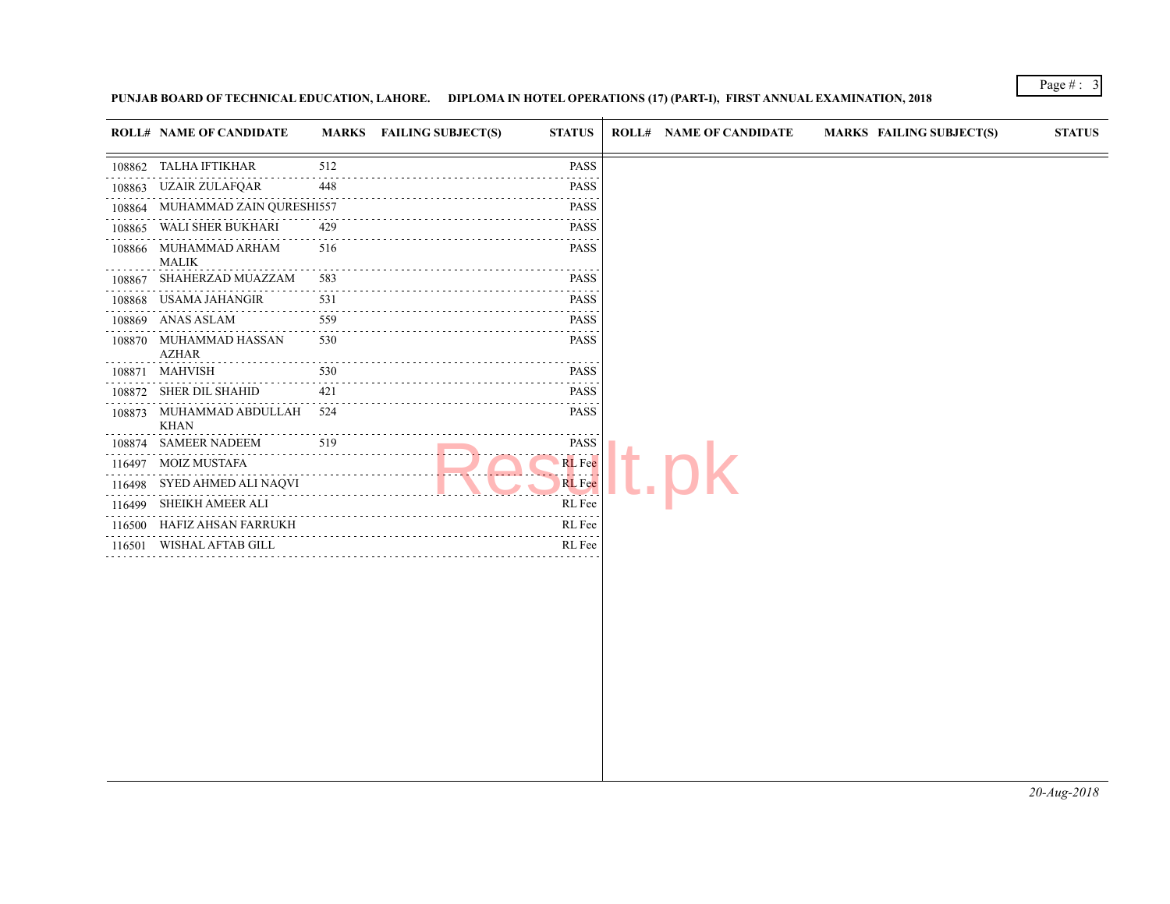## PUNJAB BOARD OF TECHNICAL EDUCATION, LAHORE. DIPLOMA IN HOTEL OPERATIONS (17) (PART-I), FIRST ANNUAL EXAMINATION

 $\overline{1}$ 

|        | <b>ROLL# NAME OF CANDIDATE</b>              |          | MARKS FAILING SUBJECT(S)<br><b>STATUS</b>    | <b>ROLL# NAME OF CANDIDATE</b> | <b>MARKS FAIL</b> |
|--------|---------------------------------------------|----------|----------------------------------------------|--------------------------------|-------------------|
| 108862 | TALHA IFTIKHAR                              | 512      | <b>PASS</b>                                  |                                |                   |
| 108863 | UZAIR ZULAFQAR                              | 448      | <b>PASS</b>                                  |                                |                   |
| 108864 | MUHAMMAD ZAIN QURESHI557                    |          | <b>PASS</b><br><b><i><u><u>.</u></u></i></b> |                                |                   |
| 108865 | WALI SHER BUKHARI                           | 429      | <b>PASS</b>                                  |                                |                   |
| 108866 | MUHAMMAD ARHAM<br><b>MALIK</b>              | 516      | <b>PASS</b>                                  |                                |                   |
| 108867 | SHAHERZAD MUAZZAM                           | 583      | <b>PASS</b>                                  |                                |                   |
| 108868 | USAMA JAHANGIR                              | 531      | <b>PASS</b>                                  |                                |                   |
|        | 108869 ANAS ASLAM                           | 559      | <b>PASS</b>                                  |                                |                   |
| 108870 | MUHAMMAD HASSAN<br><b>AZHAR</b>             | 530      | <b>PASS</b>                                  |                                |                   |
|        | 108871 MAHVISH                              | 530<br>. | <b>PASS</b>                                  |                                |                   |
|        | 108872 SHER DIL SHAHID                      | 421      | <b>PASS</b>                                  |                                |                   |
|        | 108873 MUHAMMAD ABDULLAH 524<br><b>KHAN</b> |          | <b>PASS</b><br>المتمام مامام                 |                                |                   |
|        | 108874 SAMEER NADEEM                        | 519      | <b>PASS</b>                                  |                                |                   |
| 116497 | <b>MOIZ MUSTAFA</b>                         |          | <b>RL</b> Fee<br>. <b>. .</b>                |                                |                   |
| 116498 | SYED AHMED ALI NAQVI                        |          | <b>RL</b> Fee<br><b>Contract Contract</b>    |                                |                   |
| 116499 | SHEIKH AMEER ALI                            |          | RL Fee                                       |                                |                   |
| 116500 | HAFIZ AHSAN FARRUKH                         |          | RL Fee                                       |                                |                   |
| 116501 | WISHAL AFTAB GILL                           |          | RL Fee                                       |                                |                   |
|        |                                             |          |                                              |                                |                   |